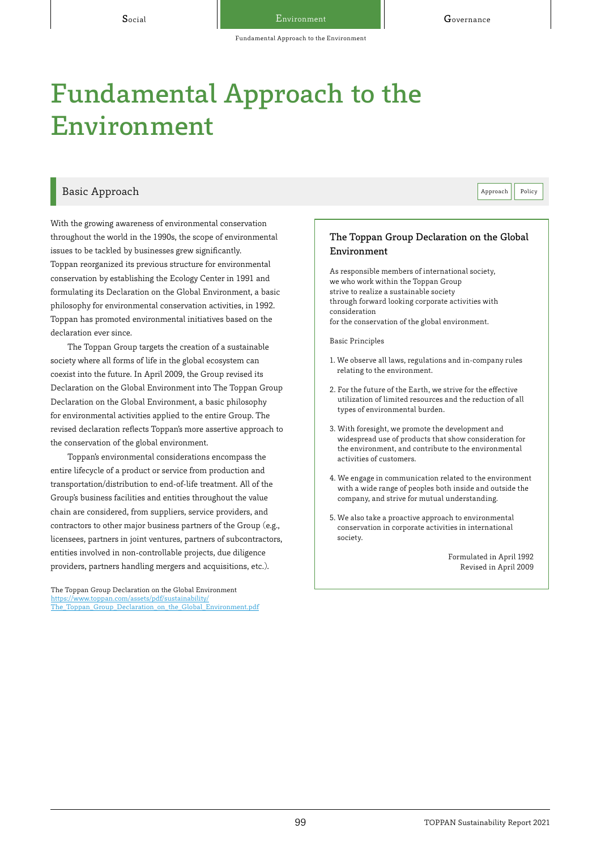#### Basic Approach **Policy Approach** Policy **Basic Approach**

With the growing awareness of environmental conservation throughout the world in the 1990s, the scope of environmental issues to be tackled by businesses grew significantly. Toppan reorganized its previous structure for environmental conservation by establishing the Ecology Center in 1991 and formulating its Declaration on the Global Environment, a basic philosophy for environmental conservation activities, in 1992. Toppan has promoted environmental initiatives based on the declaration ever since.

The Toppan Group targets the creation of a sustainable society where all forms of life in the global ecosystem can coexist into the future. In April 2009, the Group revised its Declaration on the Global Environment into The Toppan Group Declaration on the Global Environment, a basic philosophy for environmental activities applied to the entire Group. The revised declaration reflects Toppan's more assertive approach to the conservation of the global environment.

Toppan's environmental considerations encompass the entire lifecycle of a product or service from production and transportation/distribution to end-of-life treatment. All of the Group's business facilities and entities throughout the value chain are considered, from suppliers, service providers, and contractors to other major business partners of the Group (e.g., licensees, partners in joint ventures, partners of subcontractors, entities involved in non-controllable projects, due diligence providers, partners handling mergers and acquisitions, etc.).

The Toppan Group Declaration on the Global Environment https://www.toppan.com/assets/pdf/sustainability/ [The\\_Toppan\\_Group\\_Declaration\\_on\\_the\\_Global\\_Environment.pdf](https://www.toppan.com/assets/pdf/sustainability/The_Toppan_Group_Declaration_on_the_Global_Environment.pdf)

#### The Toppan Group Declaration on the Global Environment

As responsible members of international society, we who work within the Toppan Group strive to realize a sustainable society through forward looking corporate activities with consideration for the conservation of the global environment.

Basic Principles

- 1. We observe all laws, regulations and in-company rules relating to the environment.
- 2. For the future of the Earth, we strive for the effective utilization of limited resources and the reduction of all types of environmental burden.
- 3. With foresight, we promote the development and widespread use of products that show consideration for the environment, and contribute to the environmental activities of customers.
- 4. We engage in communication related to the environment with a wide range of peoples both inside and outside the company, and strive for mutual understanding.
- 5. We also take a proactive approach to environmental conservation in corporate activities in international society.

Formulated in April 1992 Revised in April 2009

99 TOPPAN Sustainability Report 2021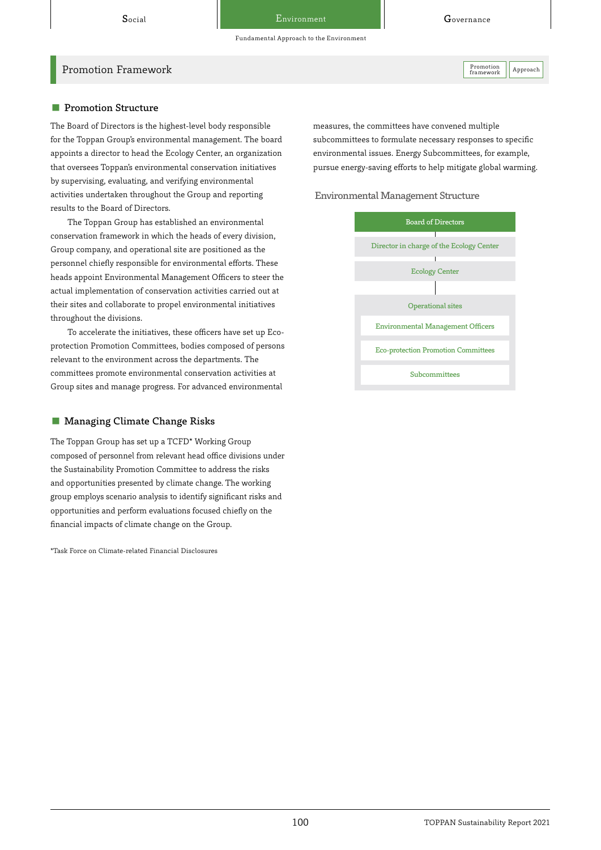Fundamental Approach to the Environment

Promotion Framework Approach Approach Approach Approach Approach Approach Approach Approach Approach Approach Approach Approach Approach Approach Approach Approach Approach Approach Approach Approach Approach Approach Appr

framework

#### ■ Promotion Structure

The Board of Directors is the highest-level body responsible for the Toppan Group's environmental management. The board appoints a director to head the Ecology Center, an organization that oversees Toppan's environmental conservation initiatives by supervising, evaluating, and verifying environmental activities undertaken throughout the Group and reporting results to the Board of Directors.

The Toppan Group has established an environmental conservation framework in which the heads of every division, Group company, and operational site are positioned as the personnel chiefly responsible for environmental efforts. These heads appoint Environmental Management Officers to steer the actual implementation of conservation activities carried out at their sites and collaborate to propel environmental initiatives throughout the divisions.

To accelerate the initiatives, these officers have set up Ecoprotection Promotion Committees, bodies composed of persons relevant to the environment across the departments. The committees promote environmental conservation activities at Group sites and manage progress. For advanced environmental

#### ■ Managing Climate Change Risks

The Toppan Group has set up a TCFD\* Working Group composed of personnel from relevant head office divisions under the Sustainability Promotion Committee to address the risks and opportunities presented by climate change. The working group employs scenario analysis to identify significant risks and opportunities and perform evaluations focused chiefly on the financial impacts of climate change on the Group.

\*Task Force on Climate-related Financial Disclosures

measures, the committees have convened multiple subcommittees to formulate necessary responses to specific environmental issues. Energy Subcommittees, for example, pursue energy-saving efforts to help mitigate global warming.

Environmental Management Structure

| <b>Board of Directors</b>                  |  |  |  |  |
|--------------------------------------------|--|--|--|--|
| Director in charge of the Ecology Center   |  |  |  |  |
| <b>Ecology Center</b>                      |  |  |  |  |
|                                            |  |  |  |  |
| <b>Operational sites</b>                   |  |  |  |  |
| <b>Environmental Management Officers</b>   |  |  |  |  |
| <b>Eco-protection Promotion Committees</b> |  |  |  |  |
| Subcommittees                              |  |  |  |  |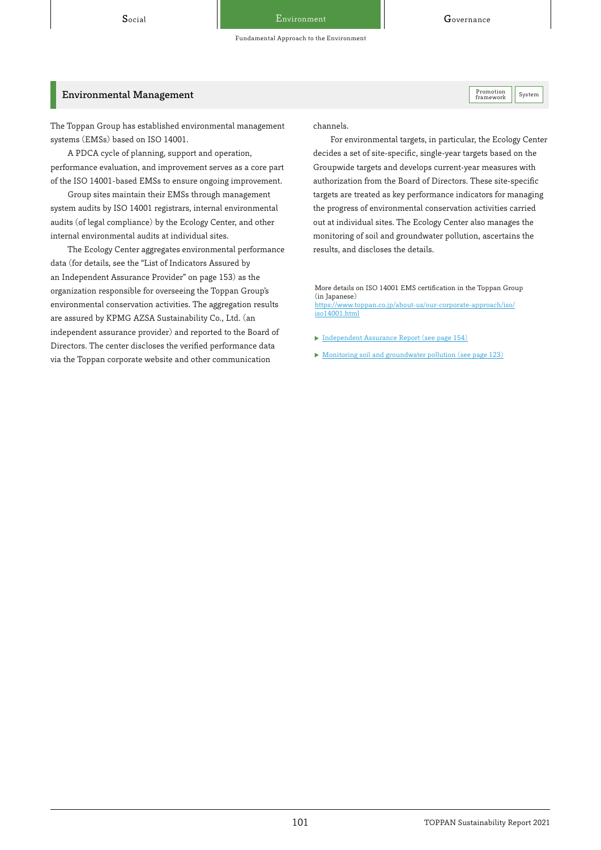Promotion<br>framework

Fundamental Approach to the Environment

#### Environmental Management System and System Control of the System of the System Promotion System Promotion System

The Toppan Group has established environmental management systems (EMSs) based on ISO 14001.

A PDCA cycle of planning, support and operation, performance evaluation, and improvement serves as a core part of the ISO 14001-based EMSs to ensure ongoing improvement.

Group sites maintain their EMSs through management system audits by ISO 14001 registrars, internal environmental audits (of legal compliance) by the Ecology Center, and other internal environmental audits at individual sites.

The Ecology Center aggregates environmental performance data (for details, see the "List of Indicators Assured by an Independent Assurance Provider" on page 153) as the organization responsible for overseeing the Toppan Group's environmental conservation activities. The aggregation results are assured by KPMG AZSA Sustainability Co., Ltd. (an independent assurance provider) and reported to the Board of Directors. The center discloses the verified performance data via the Toppan corporate website and other communication

channels.

For environmental targets, in particular, the Ecology Center decides a set of site-specific, single-year targets based on the Groupwide targets and develops current-year measures with authorization from the Board of Directors. These site-specific targets are treated as key performance indicators for managing the progress of environmental conservation activities carried out at individual sites. The Ecology Center also manages the monitoring of soil and groundwater pollution, ascertains the results, and discloses the details.

More details on ISO 14001 EMS certification in the Toppan Group (in Japanese) [https://www.toppan.co.jp/about-us/our-corporate-approach/iso/](https://www.toppan.co.jp/about-us/our-corporate-approach/iso/iso14001.html) iso14001.html

- [Independent Assurance Report \(see page 154\)](https://toppan.com/assets/en/pdf/sustainability/2021/csr2021_detail-ja.pdf#page=154)
- [Monitoring soil and groundwater pollution \(see page 123\)](https://toppan.com/assets/en/pdf/sustainability/2021/csr2021_detail-ja.pdf#page=123)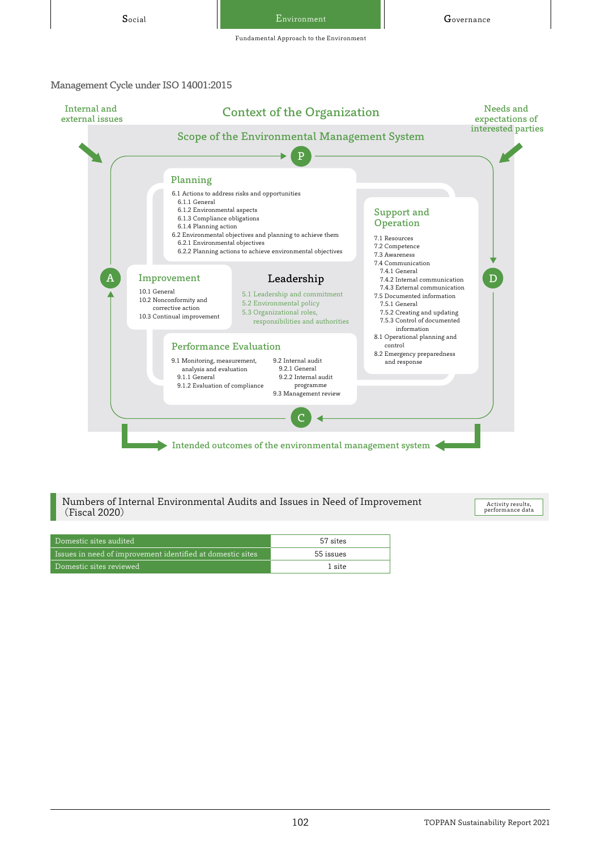Fundamental Approach to the Environment

#### Management Cycle under ISO 14001:2015



Numbers of Internal Environmental Audits and Issues in Need of Improvement (Fiscal 2020)

Activity results, performance data

| Domestic sites audited                                               | 57 sites  |
|----------------------------------------------------------------------|-----------|
| $\,$ Issues in need of improvement identified at domestic sites $\,$ | 55 issues |
| Domestic sites reviewed                                              | 1 site    |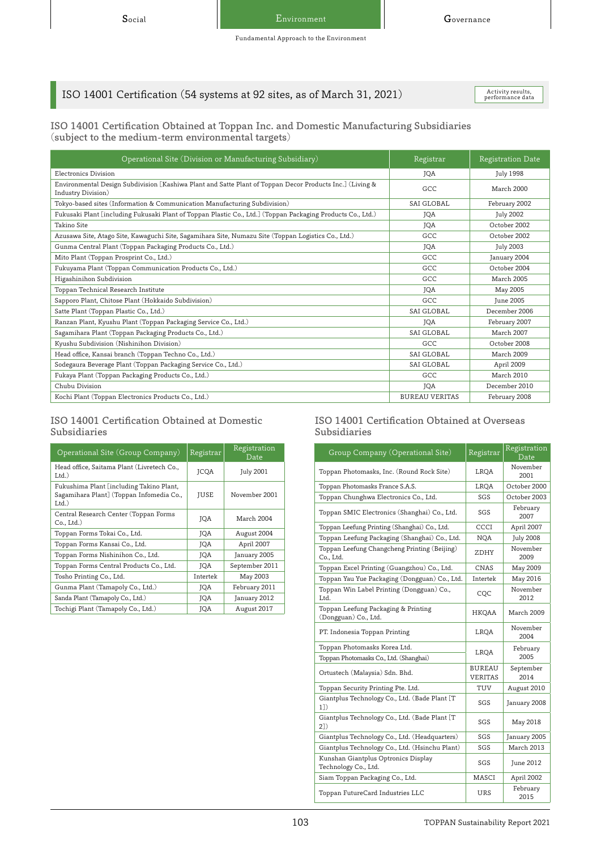# ISO 14001 Certification (54 systems at 92 sites, as of March 31, 2021)

Activity results,<br>performance data

#### ISO 14001 Certification Obtained at Toppan Inc. and Domestic Manufacturing Subsidiaries (subject to the medium-term environmental targets)

| Operational Site (Division or Manufacturing Subsidiary)                                                                        | Registrar             | Registration Date |
|--------------------------------------------------------------------------------------------------------------------------------|-----------------------|-------------------|
| Electronics Division                                                                                                           | <b>JOA</b>            | <b>July 1998</b>  |
| Environmental Design Subdivision [Kashiwa Plant and Satte Plant of Toppan Decor Products Inc.] (Living &<br>Industry Division) | GCC                   | March 2000        |
| Tokyo-based sites (Information & Communication Manufacturing Subdivision)                                                      | SAI GLOBAL            | February 2002     |
| Fukusaki Plant [including Fukusaki Plant of Toppan Plastic Co., Ltd.] (Toppan Packaging Products Co., Ltd.)                    | <b>JOA</b>            | <b>July 2002</b>  |
| Takino Site                                                                                                                    | <b>JOA</b>            | October 2002      |
| Azusawa Site, Atago Site, Kawaguchi Site, Sagamihara Site, Numazu Site (Toppan Logistics Co., Ltd.)                            | GCC                   | October 2002      |
| Gunma Central Plant (Toppan Packaging Products Co., Ltd.)                                                                      | <b>JOA</b>            | <b>July 2003</b>  |
| Mito Plant (Toppan Prosprint Co., Ltd.)                                                                                        | GCC                   | January 2004      |
| Fukuyama Plant (Toppan Communication Products Co., Ltd.)                                                                       | GCC                   | October 2004      |
| Higashinihon Subdivision                                                                                                       | GCC                   | March 2005        |
| Toppan Technical Research Institute                                                                                            | <b>JOA</b>            | May 2005          |
| Sapporo Plant, Chitose Plant (Hokkaido Subdivision)                                                                            | GCC                   | <b>June 2005</b>  |
| Satte Plant (Toppan Plastic Co., Ltd.)                                                                                         | SAI GLOBAL            | December 2006     |
| Ranzan Plant, Kyushu Plant (Toppan Packaging Service Co., Ltd.)                                                                | <b>JOA</b>            | February 2007     |
| Sagamihara Plant (Toppan Packaging Products Co., Ltd.)                                                                         | SAI GLOBAL            | March 2007        |
| Kyushu Subdivision (Nishinihon Division)                                                                                       | GCC                   | October 2008      |
| Head office, Kansai branch (Toppan Techno Co., Ltd.)                                                                           | SAI GLOBAL            | March 2009        |
| Sodegaura Beverage Plant (Toppan Packaging Service Co., Ltd.)                                                                  | SAI GLOBAL            | April 2009        |
| Fukaya Plant (Toppan Packaging Products Co., Ltd.)                                                                             | GCC                   | <b>March 2010</b> |
| Chubu Division                                                                                                                 | JQA                   | December 2010     |
| Kochi Plant (Toppan Electronics Products Co., Ltd.)                                                                            | <b>BUREAU VERITAS</b> | February 2008     |

#### ISO 14001 Certification Obtained at Domestic Subsidiaries

| Operational Site (Group Company)                                                                 | Registrar   | Registration<br>Date |
|--------------------------------------------------------------------------------------------------|-------------|----------------------|
| Head office, Saitama Plant (Livretech Co.,<br>Ltd.                                               | <b>JCOA</b> | <b>July 2001</b>     |
| Fukushima Plant [including Takino Plant,<br>Sagamihara Plant] (Toppan Infomedia Co.,<br>$Ltd.$ ) | JUSE        | November 2001        |
| Central Research Center (Toppan Forms<br>Co., Ltd.)                                              | <b>JOA</b>  | March 2004           |
| Toppan Forms Tokai Co., Ltd.                                                                     | JQA         | August 2004          |
| Toppan Forms Kansai Co., Ltd.                                                                    | JQA         | April 2007           |
| Toppan Forms Nishinihon Co., Ltd.                                                                | JQA         | January 2005         |
| Toppan Forms Central Products Co., Ltd.                                                          | <b>JOA</b>  | September 2011       |
| Tosho Printing Co., Ltd.                                                                         | Intertek    | May 2003             |
| Gunma Plant (Tamapoly Co., Ltd.)                                                                 | JQA         | February 2011        |
| Sanda Plant (Tamapoly Co., Ltd.)                                                                 | JQA         | January 2012         |
| Tochigi Plant (Tamapoly Co., Ltd.)                                                               | JQA         | August 2017          |

#### ISO 14001 Certification Obtained at Overseas Subsidiaries

| Group Company (Operational Site)                            | Registrar                | Registration<br><b>Date</b> |  |
|-------------------------------------------------------------|--------------------------|-----------------------------|--|
| Toppan Photomasks, Inc. (Round Rock Site)                   | LRQA                     | November<br>2001            |  |
| Toppan Photomasks France S.A.S.                             | LRQA                     | October 2000                |  |
| Toppan Chunghwa Electronics Co., Ltd.                       | SGS                      | October 2003                |  |
| Toppan SMIC Electronics (Shanghai) Co., Ltd.                | SGS                      | February<br>2007            |  |
| Toppan Leefung Printing (Shanghai) Co., Ltd.                | CCCI                     | April 2007                  |  |
| Toppan Leefung Packaging (Shanghai) Co., Ltd.               | NQA                      | July 2008                   |  |
| Toppan Leefung Changcheng Printing (Beijing)<br>Co., Ltd.   | ZDHY                     | November<br>2009            |  |
| Toppan Excel Printing (Guangzhou) Co., Ltd.                 | CNAS                     | May 2009                    |  |
| Toppan Yau Yue Packaging (Dongguan) Co., Ltd.               | Intertek                 | May 2016                    |  |
| Toppan Win Label Printing (Dongguan) Co.,<br>Ltd.           | CQC                      | November<br>2012            |  |
| Toppan Leefung Packaging & Printing<br>(Dongguan) Co., Ltd. | HKQAA                    | March 2009                  |  |
| PT. Indonesia Toppan Printing                               | LRQA                     | November<br>2004            |  |
| Toppan Photomasks Korea Ltd.                                | LRQA                     | February                    |  |
| Toppan Photomasks Co., Ltd. (Shanghai)                      |                          | 2005                        |  |
| Ortustech (Malaysia) Sdn. Bhd.                              | BUREAU<br><b>VERITAS</b> | September<br>2014           |  |
| Toppan Security Printing Pte. Ltd.                          | TUV                      | August 2010                 |  |
| Giantplus Technology Co., Ltd. (Bade Plant [T<br>1)         | SGS                      | January 2008                |  |
| Giantplus Technology Co., Ltd. (Bade Plant [T<br>21)        | SGS                      | May 2018                    |  |
| Giantplus Technology Co., Ltd. (Headquarters)               | SGS                      | January 2005                |  |
| Giantplus Technology Co., Ltd. (Hsinchu Plant)              | SGS                      | March 2013                  |  |
| Kunshan Giantplus Optronics Display<br>Technology Co., Ltd. | SGS                      | June 2012                   |  |
| Siam Toppan Packaging Co., Ltd.                             | MASCI                    | April 2002                  |  |
| Toppan FutureCard Industries LLC                            | URS                      | February<br>2015            |  |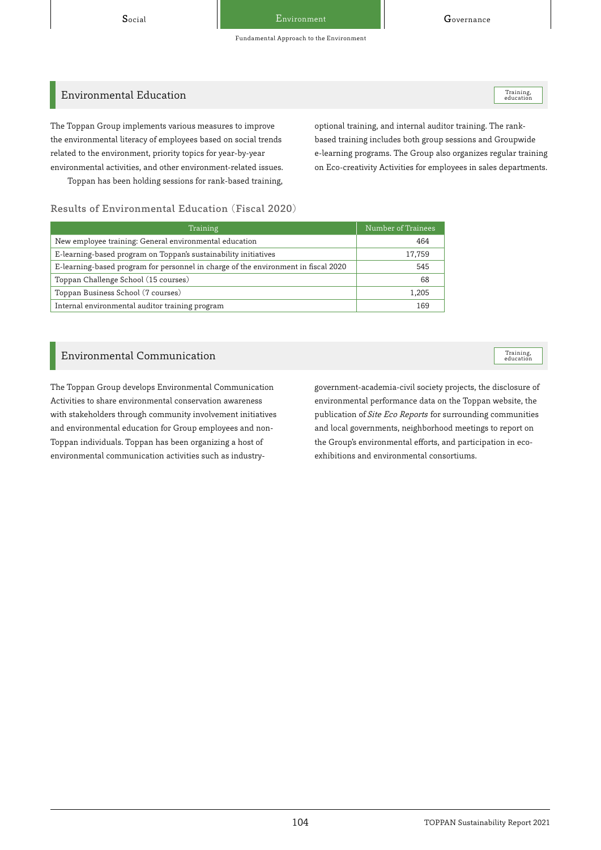Training,<br>education

Training,<br>education

## Environmental Education

The Toppan Group implements various measures to improve the environmental literacy of employees based on social trends related to the environment, priority topics for year-by-year environmental activities, and other environment-related issues. Toppan has been holding sessions for rank-based training,

optional training, and internal auditor training. The rankbased training includes both group sessions and Groupwide e-learning programs. The Group also organizes regular training on Eco-creativity Activities for employees in sales departments.

#### Results of Environmental Education (Fiscal 2020)

| Training                                                                           | Number of Trainees |  |
|------------------------------------------------------------------------------------|--------------------|--|
| New employee training: General environmental education                             | 464                |  |
| E-learning-based program on Toppan's sustainability initiatives                    | 17,759             |  |
| E-learning-based program for personnel in charge of the environment in fiscal 2020 | 545                |  |
| Toppan Challenge School (15 courses)                                               | 68                 |  |
| Toppan Business School (7 courses)                                                 | 1,205              |  |
| Internal environmental auditor training program                                    | 169                |  |

#### Environmental Communication

The Toppan Group develops Environmental Communication Activities to share environmental conservation awareness with stakeholders through community involvement initiatives and environmental education for Group employees and non-Toppan individuals. Toppan has been organizing a host of environmental communication activities such as industrygovernment-academia-civil society projects, the disclosure of environmental performance data on the Toppan website, the publication of Site Eco Reports for surrounding communities and local governments, neighborhood meetings to report on the Group's environmental efforts, and participation in ecoexhibitions and environmental consortiums.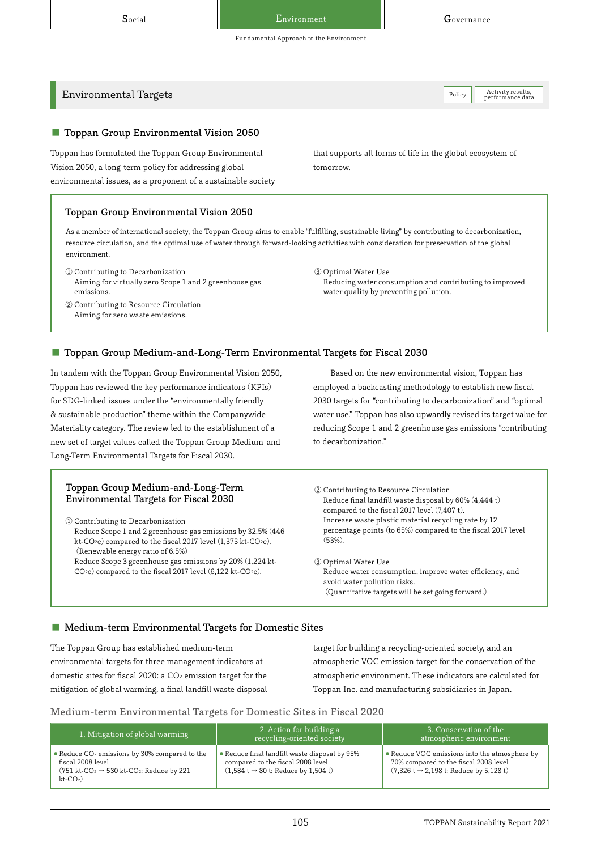Activity results,<br>performance data

# $\frac{1}{\text{Poles}}$  Environmental Targets

#### ■ Toppan Group Environmental Vision 2050

Toppan has formulated the Toppan Group Environmental Vision 2050, a long-term policy for addressing global environmental issues, as a proponent of a sustainable society

#### Toppan Group Environmental Vision 2050

As a member of international society, the Toppan Group aims to enable "fulfilling, sustainable living" by contributing to decarbonization, resource circulation, and the optimal use of water through forward-looking activities with consideration for preservation of the global environment.

- ① Contributing to Decarbonization Aiming for virtually zero Scope 1 and 2 greenhouse gas emissions.
- ② Contributing to Resource Circulation Aiming for zero waste emissions.

that supports all forms of life in the global ecosystem of tomorrow.

③ Optimal Water Use Reducing water consumption and contributing to improved water quality by preventing pollution.

#### ■ Toppan Group Medium-and-Long-Term Environmental Targets for Fiscal 2030

In tandem with the Toppan Group Environmental Vision 2050, Toppan has reviewed the key performance indicators (KPIs) for SDG-linked issues under the "environmentally friendly & sustainable production" theme within the Companywide Materiality category. The review led to the establishment of a new set of target values called the Toppan Group Medium-and-Long-Term Environmental Targets for Fiscal 2030.

#### Toppan Group Medium-and-Long-Term Environmental Targets for Fiscal 2030

① Contributing to Decarbonization

Reduce Scope 1 and 2 greenhouse gas emissions by 32.5% (446 kt-CO<sub>2</sub>e) compared to the fiscal 2017 level (1,373 kt-CO<sub>2</sub>e). (Renewable energy ratio of 6.5%)

Reduce Scope 3 greenhouse gas emissions by 20% (1,224 kt-CO<sub>2</sub>e) compared to the fiscal 2017 level (6,122 kt-CO<sub>2</sub>e).

Based on the new environmental vision, Toppan has employed a backcasting methodology to establish new fiscal 2030 targets for "contributing to decarbonization" and "optimal water use." Toppan has also upwardly revised its target value for reducing Scope 1 and 2 greenhouse gas emissions "contributing to decarbonization."

② Contributing to Resource Circulation Reduce final landfill waste disposal by 60% (4,444 t) compared to the fiscal 2017 level (7,407 t). Increase waste plastic material recycling rate by 12 percentage points (to 65%) compared to the fiscal 2017 level (53%).

③ Optimal Water Use Reduce water consumption, improve water efficiency, and avoid water pollution risks. (Quantitative targets will be set going forward.)

#### ■ Medium-term Environmental Targets for Domestic Sites

The Toppan Group has established medium-term environmental targets for three management indicators at domestic sites for fiscal 2020: a CO2 emission target for the mitigation of global warming, a final landfill waste disposal target for building a recycling-oriented society, and an atmospheric VOC emission target for the conservation of the atmospheric environment. These indicators are calculated for Toppan Inc. and manufacturing subsidiaries in Japan.

#### Medium-term Environmental Targets for Domestic Sites in Fiscal 2020

| 1. Mitigation of global warming                                                                                                                                              | 2. Action for building a<br>recycling-oriented society                                                                                 | 3. Conservation of the<br>atmospheric environment                                                                                             |
|------------------------------------------------------------------------------------------------------------------------------------------------------------------------------|----------------------------------------------------------------------------------------------------------------------------------------|-----------------------------------------------------------------------------------------------------------------------------------------------|
| • Reduce CO <sub>2</sub> emissions by 30% compared to the<br>fiscal 2008 level<br>(751 kt-CO <sub>2</sub> $\rightarrow$ 530 kt-CO <sub>2</sub> : Reduce by 221<br>$kt$ -CO2) | • Reduce final landfill waste disposal by 95%<br>compared to the fiscal 2008 level<br>$(1,584 t \rightarrow 80 t$ : Reduce by 1,504 t) | • Reduce VOC emissions into the atmosphere by<br>70% compared to the fiscal 2008 level<br>$(7,326 t \rightarrow 2,198 t$ : Reduce by 5,128 t) |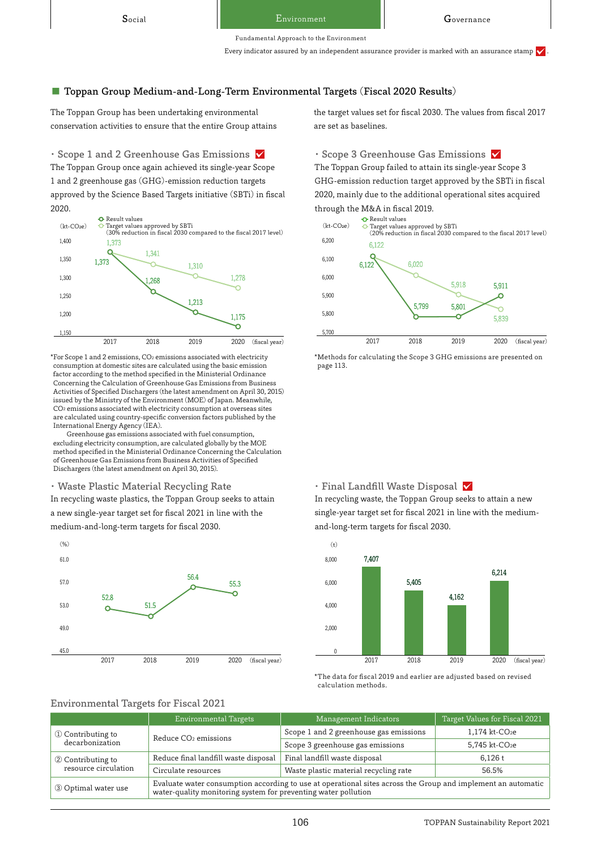Fundamental Approach to the Environment

Every indicator assured by an independent assurance provider is marked with an assurance stamp  $\checkmark$ 

#### ■ Toppan Group Medium-and-Long-Term Environmental Targets (Fiscal 2020 Results)

The Toppan Group has been undertaking environmental conservation activities to ensure that the entire Group attains

The Toppan Group once again achieved its single-year Scope 1 and 2 greenhouse gas (GHG)-emission reduction targets approved by the Science Based Targets initiative (SBTi) in fiscal 2020. • Scope 1 and 2 Greenhouse Gas Emissions  $\vee$  • Scope 3 Greenhouse Gas Emissions  $\vee$ 



\*For Scope 1 and 2 emissions, CO2 emissions associated with electricity consumption at domestic sites are calculated using the basic emission factor according to the method specified in the Ministerial Ordinance Concerning the Calculation of Greenhouse Gas Emissions from Business Activities of Specified Dischargers (the latest amendment on April 30, 2015) issued by the Ministry of the Environment (MOE) of Japan. Meanwhile, CO2 emissions associated with electricity consumption at overseas sites are calculated using country-specific conversion factors published by the International Energy Agency (IEA).

Greenhouse gas emissions associated with fuel consumption, excluding electricity consumption, are calculated globally by the MOE method specified in the Ministerial Ordinance Concerning the Calculation of Greenhouse Gas Emissions from Business Activities of Specified Dischargers (the latest amendment on April 30, 2015).

・ Waste Plastic Material Recycling Rate

In recycling waste plastics, the Toppan Group seeks to attain a new single-year target set for fiscal 2021 in line with the medium-and-long-term targets for fiscal 2030.



the target values set for fiscal 2030. The values from fiscal 2017 are set as baselines.

The Toppan Group failed to attain its single-year Scope 3 GHG-emission reduction target approved by the SBTi in fiscal 2020, mainly due to the additional operational sites acquired through the M&A in fiscal 2019.



\*Methods for calculating the Scope 3 GHG emissions are presented on page 113.

#### • Final Landfill Waste Disposal  $\checkmark$

In recycling waste, the Toppan Group seeks to attain a new single-year target set for fiscal 2021 in line with the mediumand-long-term targets for fiscal 2030.



\*The data for fiscal 2019 and earlier are adjusted based on revised calculation methods.

#### Environmental Targets for Fiscal 2021

|                                           | Environmental Targets                                                                                                                                                          | Management Indicators                  | Target Values for Fiscal 2021 |  |
|-------------------------------------------|--------------------------------------------------------------------------------------------------------------------------------------------------------------------------------|----------------------------------------|-------------------------------|--|
| 1 Contributing to<br>decarbonization      | Reduce CO <sub>2</sub> emissions                                                                                                                                               | Scope 1 and 2 greenhouse gas emissions | 1,174 kt-CO <sub>2</sub> e    |  |
|                                           |                                                                                                                                                                                | Scope 3 greenhouse gas emissions       | 5.745 kt-CO <sub>2</sub> e    |  |
| 2 Contributing to<br>resource circulation | Reduce final landfill waste disposal                                                                                                                                           | Final landfill waste disposal          | 6.126 t                       |  |
|                                           | Circulate resources                                                                                                                                                            | Waste plastic material recycling rate  | 56.5%                         |  |
| 3 Optimal water use                       | Evaluate water consumption according to use at operational sites across the Group and implement an automatic<br>water-quality monitoring system for preventing water pollution |                                        |                               |  |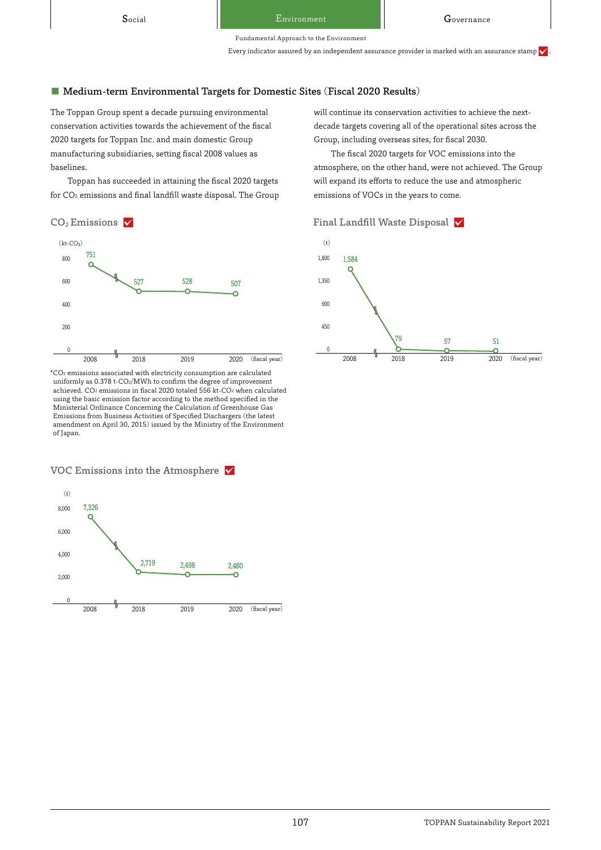Fundamental Approach to the Environment

Every indicator assured by an independent assurance provider is marked with an assurance stamp  $\checkmark$ 

#### ■ Medium-term Environmental Targets for Domestic Sites (Fiscal 2020 Results)

The Toppan Group spent a decade pursuing environmental conservation activities towards the achievement of the fiscal 2020 targets for Toppan Inc. and main domestic Group manufacturing subsidiaries, setting fiscal 2008 values as baselines.

Toppan has succeeded in attaining the fiscal 2020 targets for CO2 emissions and final landfill waste disposal. The Group



\*CO2 emissions associated with electricity consumption are calculated uniformly as 0.378 t-CO2/MWh to confirm the degree of improvement achieved. CO2 emissions in fiscal 2020 totaled 556 kt-CO2 when calculated using the basic emission factor according to the method specified in the Ministerial Ordinance Concerning the Calculation of Greenhouse Gas Emissions from Business Activities of Specified Dischargers (the latest amendment on April 30, 2015) issued by the Ministry of the Environment of Japan.

### VOC Emissions into the Atmosphere



will continue its conservation activities to achieve the nextdecade targets covering all of the operational sites across the Group, including overseas sites, for fiscal 2030.

The fiscal 2020 targets for VOC emissions into the atmosphere, on the other hand, were not achieved. The Group will expand its efforts to reduce the use and atmospheric emissions of VOCs in the years to come.



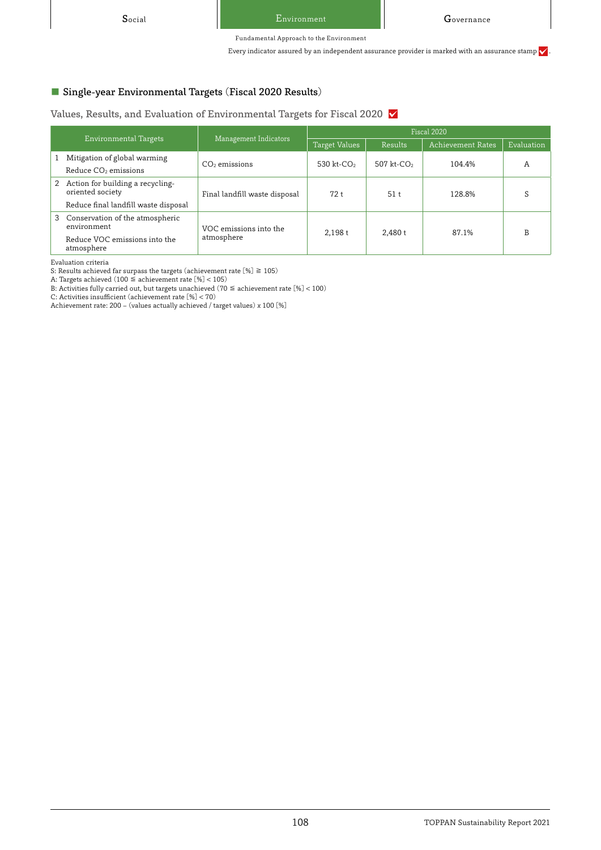Every indicator assured by an independent assurance provider is marked with an assurance stamp  $\checkmark$ 

# ■ Single-year Environmental Targets (Fiscal 2020 Results)

Values, Results, and Evaluation of Environmental Targets for Fiscal 2020  $\times$ 

| Environmental Targets |                                                      | Management Indicators                | Fiscal 2020            |                        |                   |            |
|-----------------------|------------------------------------------------------|--------------------------------------|------------------------|------------------------|-------------------|------------|
|                       |                                                      |                                      | <b>Target Values</b>   | Results                | Achievement Rates | Evaluation |
|                       | Mitigation of global warming                         | $CO2$ emissions                      | 530 kt-CO <sub>2</sub> | 507 kt-CO <sub>2</sub> | 104.4%            | А          |
|                       | Reduce CO <sub>2</sub> emissions                     |                                      |                        |                        |                   |            |
| 2                     | Action for building a recycling-<br>oriented society | Final landfill waste disposal        | 72t                    | 51t                    | 128.8%            | S          |
|                       | Reduce final landfill waste disposal                 |                                      |                        |                        |                   |            |
|                       | 3 Conservation of the atmospheric<br>environment     | VOC emissions into the<br>atmosphere | 2.198t                 | 2.480t                 | 87.1%             | B          |
|                       | Reduce VOC emissions into the<br>atmosphere          |                                      |                        |                        |                   |            |

Evaluation criteria

S: Results achieved far surpass the targets (achievement rate [%]  $\geqq 105)$ 

A: Targets achieved (100 ≦ achievement rate [%] < 105)

B: Activities fully carried out, but targets unachieved (70  $\leq$  achievement rate  $[%] < 100$ )

C: Activities insufficient (achievement rate [%] < 70)

Achievement rate: 200 – (values actually achieved / target values) x 100 [%]